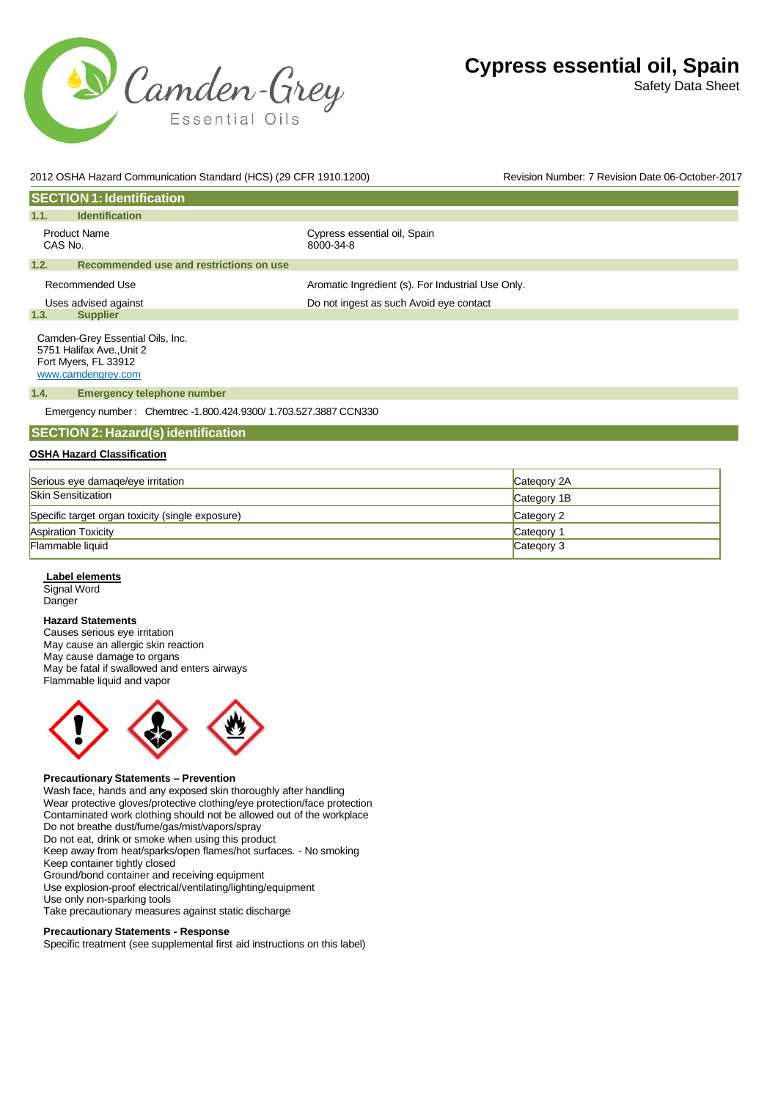

Safety Data Sheet

| 2012 OSHA Hazard Communication Standard (HCS) (29 CFR 1910.1200) |                                                                                                             |                                                                   | Revision Number: 7 Revision Date 06-October-2017 |
|------------------------------------------------------------------|-------------------------------------------------------------------------------------------------------------|-------------------------------------------------------------------|--------------------------------------------------|
|                                                                  | <b>SECTION 1: Identification</b>                                                                            |                                                                   |                                                  |
| 1.1.                                                             | <b>Identification</b>                                                                                       |                                                                   |                                                  |
| CAS No.                                                          | <b>Product Name</b>                                                                                         | Cypress essential oil, Spain<br>8000-34-8                         |                                                  |
| 1.2.                                                             | Recommended use and restrictions on use                                                                     |                                                                   |                                                  |
|                                                                  | Recommended Use                                                                                             | Aromatic Ingredient (s). For Industrial Use Only.                 |                                                  |
|                                                                  | Uses advised against                                                                                        | Do not ingest as such Avoid eye contact                           |                                                  |
| 1.3.                                                             | <b>Supplier</b>                                                                                             |                                                                   |                                                  |
|                                                                  | Camden-Grey Essential Oils, Inc.<br>5751 Halifax Ave., Unit 2<br>Fort Myers, FL 33912<br>www.camdengrey.com |                                                                   |                                                  |
| 1.4.                                                             | <b>Emergency telephone number</b>                                                                           |                                                                   |                                                  |
|                                                                  |                                                                                                             | Emergency number: Chemtrec -1.800.424.9300/ 1.703.527.3887 CCN330 |                                                  |
|                                                                  | <b>SECTION 2: Hazard(s) identification</b>                                                                  |                                                                   |                                                  |
|                                                                  | <b>OSHA Hazard Classification</b>                                                                           |                                                                   |                                                  |
|                                                                  | Serious eve damage/eve irritation                                                                           |                                                                   | Category 2A                                      |

| Serious eye damaqe/eye irritation                | Category 2A |
|--------------------------------------------------|-------------|
| <b>Skin Sensitization</b>                        | Category 1B |
| Specific target organ toxicity (single exposure) | Category 2  |
| <b>Aspiration Toxicity</b>                       | Category 1  |
| Flammable liquid                                 | Category 3  |

# **Label elements**

Signal Word Danger

### **Hazard Statements**

Causes serious eye irritation May cause an allergic skin reaction May cause damage to organs May be fatal if swallowed and enters airways Flammable liquid and vapor



### **Precautionary Statements – Prevention**

Wash face, hands and any exposed skin thoroughly after handling Wear protective gloves/protective clothing/eye protection/face protection Contaminated work clothing should not be allowed out of the workplace Do not breathe dust/fume/gas/mist/vapors/spray Do not eat, drink or smoke when using this product Keep away from heat/sparks/open flames/hot surfaces. - No smoking Keep container tightly closed Ground/bond container and receiving equipment Use explosion-proof electrical/ventilating/lighting/equipment Use only non-sparking tools Take precautionary measures against static discharge **Precautionary Statements - Response**

Specific treatment (see supplemental first aid instructions on this label)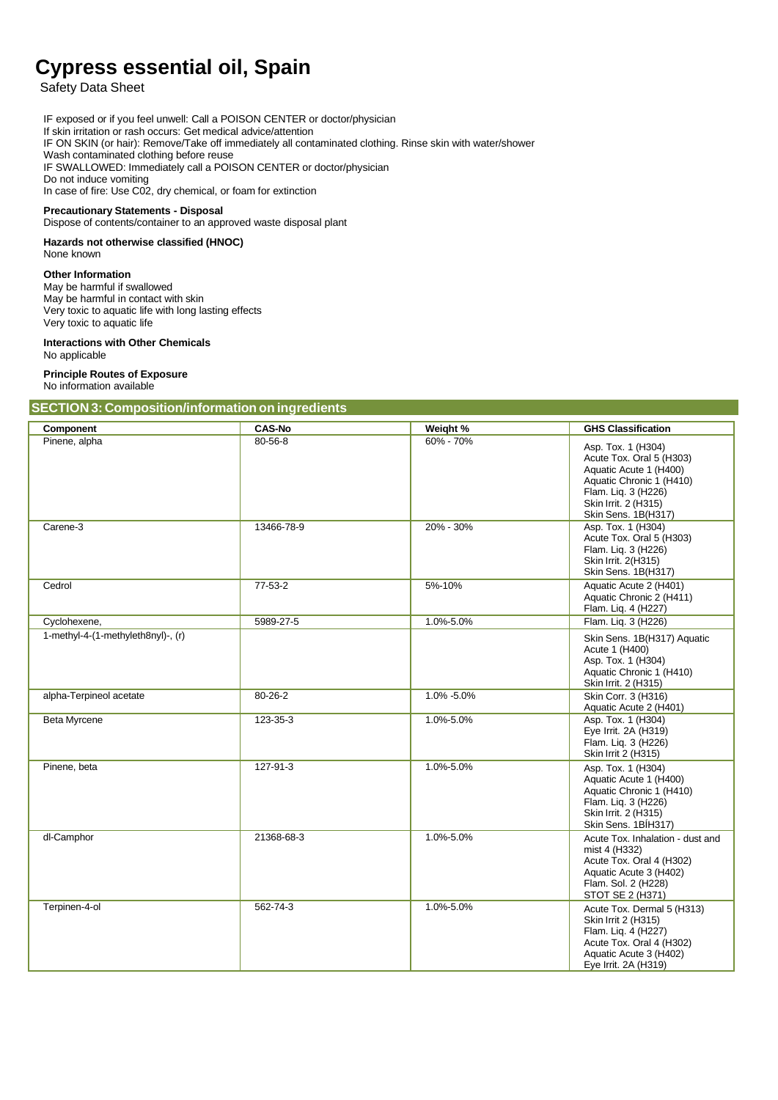Safety Data Sheet

IF exposed or if you feel unwell: Call a POISON CENTER or doctor/physician If skin irritation or rash occurs: Get medical advice/attention IF ON SKIN (or hair): Remove/Take off immediately all contaminated clothing. Rinse skin with water/shower Wash contaminated clothing before reuse IF SWALLOWED: Immediately call a POISON CENTER or doctor/physician Do not induce vomiting In case of fire: Use C02, dry chemical, or foam for extinction

#### **Precautionary Statements - Disposal**

Dispose of contents/container to an approved waste disposal plant

#### **Hazards not otherwise classified (HNOC)** None known

#### **Other Information**

May be harmful if swallowed May be harmful in contact with skin Very toxic to aquatic life with long lasting effects Very toxic to aquatic life

# **Interactions with Other Chemicals**

No applicable

#### **Principle Routes of Exposure** No information available

#### **SECTION 3: Composition/information on ingredients**

| Component                          | <b>CAS-No</b> | Weight %   | <b>GHS Classification</b>                                                                                                                                                  |
|------------------------------------|---------------|------------|----------------------------------------------------------------------------------------------------------------------------------------------------------------------------|
| Pinene, alpha                      | $80 - 56 - 8$ | 60% - 70%  | Asp. Tox. 1 (H304)<br>Acute Tox. Oral 5 (H303)<br>Aquatic Acute 1 (H400)<br>Aquatic Chronic 1 (H410)<br>Flam. Liq. 3 (H226)<br>Skin Irrit. 2 (H315)<br>Skin Sens. 1B(H317) |
| Carene-3                           | 13466-78-9    | 20% - 30%  | Asp. Tox. 1 (H304)<br>Acute Tox. Oral 5 (H303)<br>Flam. Liq. 3 (H226)<br>Skin Irrit. 2(H315)<br>Skin Sens. 1B(H317)                                                        |
| Cedrol                             | $77-53-2$     | 5%-10%     | Aquatic Acute 2 (H401)<br>Aquatic Chronic 2 (H411)<br>Flam. Liq. 4 (H227)                                                                                                  |
| Cyclohexene,                       | 5989-27-5     | 1.0%-5.0%  | Flam. Liq. 3 (H226)                                                                                                                                                        |
| 1-methyl-4-(1-methyleth8nyl)-, (r) |               |            | Skin Sens. 1B(H317) Aquatic<br>Acute 1 (H400)<br>Asp. Tox. 1 (H304)<br>Aquatic Chronic 1 (H410)<br>Skin Irrit. 2 (H315)                                                    |
| alpha-Terpineol acetate            | 80-26-2       | 1.0% -5.0% | Skin Corr. 3 (H316)<br>Aquatic Acute 2 (H401)                                                                                                                              |
| <b>Beta Myrcene</b>                | 123-35-3      | 1.0%-5.0%  | Asp. Tox. 1 (H304)<br>Eye Irrit. 2A (H319)<br>Flam. Liq. 3 (H226)<br>Skin Irrit 2 (H315)                                                                                   |
| Pinene, beta                       | 127-91-3      | 1.0%-5.0%  | Asp. Tox. 1 (H304)<br>Aquatic Acute 1 (H400)<br>Aquatic Chronic 1 (H410)<br>Flam. Liq. 3 (H226)<br>Skin Irrit. 2 (H315)<br>Skin Sens. 1BÍH317)                             |
| dl-Camphor                         | 21368-68-3    | 1.0%-5.0%  | Acute Tox. Inhalation - dust and<br>mist 4 (H332)<br>Acute Tox. Oral 4 (H302)<br>Aquatic Acute 3 (H402)<br>Flam. Sol. 2 (H228)<br>STOT SE 2 (H371)                         |
| Terpinen-4-ol                      | 562-74-3      | 1.0%-5.0%  | Acute Tox. Dermal 5 (H313)<br>Skin Irrit 2 (H315)<br>Flam. Liq. 4 (H227)<br>Acute Tox. Oral 4 (H302)<br>Aquatic Acute 3 (H402)<br>Eye Irrit. 2A (H319)                     |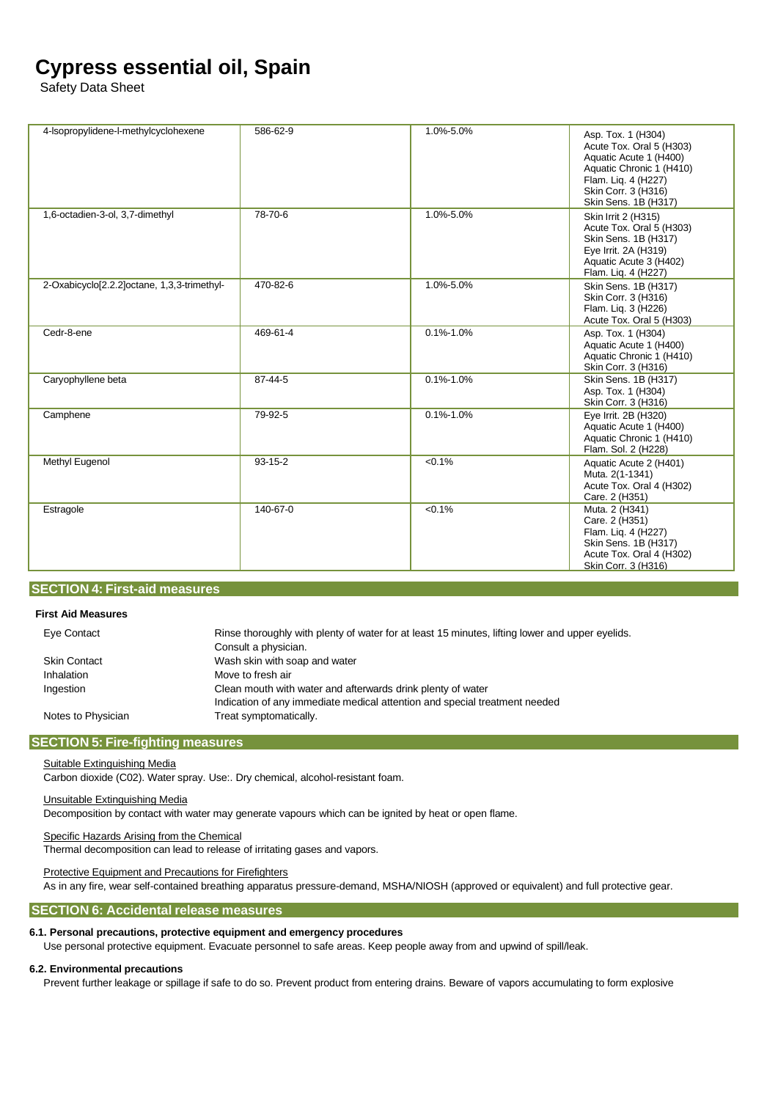Safety Data Sheet

| 4-Isopropylidene-I-methylcyclohexene        | 586-62-9      | 1.0%-5.0%       | Asp. Tox. 1 (H304)<br>Acute Tox. Oral 5 (H303)<br>Aquatic Acute 1 (H400)<br>Aquatic Chronic 1 (H410)<br>Flam. Liq. 4 (H227)<br>Skin Corr. 3 (H316)<br>Skin Sens. 1B (H317) |
|---------------------------------------------|---------------|-----------------|----------------------------------------------------------------------------------------------------------------------------------------------------------------------------|
| 1,6-octadien-3-ol, 3,7-dimethyl             | 78-70-6       | 1.0%-5.0%       | Skin Irrit 2 (H315)<br>Acute Tox. Oral 5 (H303)<br>Skin Sens. 1B (H317)<br>Eye Irrit. 2A (H319)<br>Aquatic Acute 3 (H402)<br>Flam. Liq. 4 (H227)                           |
| 2-Oxabicyclo[2.2.2]octane, 1,3,3-trimethyl- | 470-82-6      | 1.0%-5.0%       | Skin Sens. 1B (H317)<br>Skin Corr. 3 (H316)<br>Flam. Lig. 3 (H226)<br>Acute Tox. Oral 5 (H303)                                                                             |
| Cedr-8-ene                                  | 469-61-4      | $0.1\% - 1.0\%$ | Asp. Tox. 1 (H304)<br>Aquatic Acute 1 (H400)<br>Aquatic Chronic 1 (H410)<br>Skin Corr. 3 (H316)                                                                            |
| Caryophyllene beta                          | 87-44-5       | $0.1\% - 1.0\%$ | Skin Sens. 1B (H317)<br>Asp. Tox. 1 (H304)<br>Skin Corr. 3 (H316)                                                                                                          |
| Camphene                                    | 79-92-5       | $0.1\% - 1.0\%$ | Eye Irrit. 2B (H320)<br>Aquatic Acute 1 (H400)<br>Aquatic Chronic 1 (H410)<br>Flam. Sol. 2 (H228)                                                                          |
| Methyl Eugenol                              | $93 - 15 - 2$ | < 0.1%          | Aquatic Acute 2 (H401)<br>Muta. 2(1-1341)<br>Acute Tox. Oral 4 (H302)<br>Care. 2 (H351)                                                                                    |
| Estragole                                   | 140-67-0      | < 0.1%          | Muta. 2 (H341)<br>Care. 2 (H351)<br>Flam. Liq. 4 (H227)<br>Skin Sens. 1B (H317)<br>Acute Tox. Oral 4 (H302)<br>Skin Corr. 3 (H316)                                         |

## **SECTION 4: First-aid measures**

#### **First Aid Measures**

| Eye Contact        | Rinse thoroughly with plenty of water for at least 15 minutes, lifting lower and upper eyelids. |
|--------------------|-------------------------------------------------------------------------------------------------|
|                    | Consult a physician.                                                                            |
| Skin Contact       | Wash skin with soap and water                                                                   |
| Inhalation         | Move to fresh air                                                                               |
| Ingestion          | Clean mouth with water and afterwards drink plenty of water                                     |
|                    | Indication of any immediate medical attention and special treatment needed                      |
| Notes to Physician | Treat symptomatically.                                                                          |
|                    |                                                                                                 |

#### **SECTION 5: Fire-fighting measures**

#### Suitable Extinguishing Media

Carbon dioxide (C02). Water spray. Use:. Dry chemical, alcohol-resistant foam.

#### Unsuitable Extinguishing Media

Decomposition by contact with water may generate vapours which can be ignited by heat or open flame.

#### Specific Hazards Arising from the Chemical

Thermal decomposition can lead to release of irritating gases and vapors.

#### Protective Equipment and Precautions for Firefighters

As in any fire, wear self-contained breathing apparatus pressure-demand, MSHA/NIOSH (approved or equivalent) and full protective gear.

### **SECTION 6: Accidental release measures**

#### **6.1. Personal precautions, protective equipment and emergency procedures**

Use personal protective equipment. Evacuate personnel to safe areas. Keep people away from and upwind of spill/leak.

### **6.2. Environmental precautions**

Prevent further leakage or spillage if safe to do so. Prevent product from entering drains. Beware of vapors accumulating to form explosive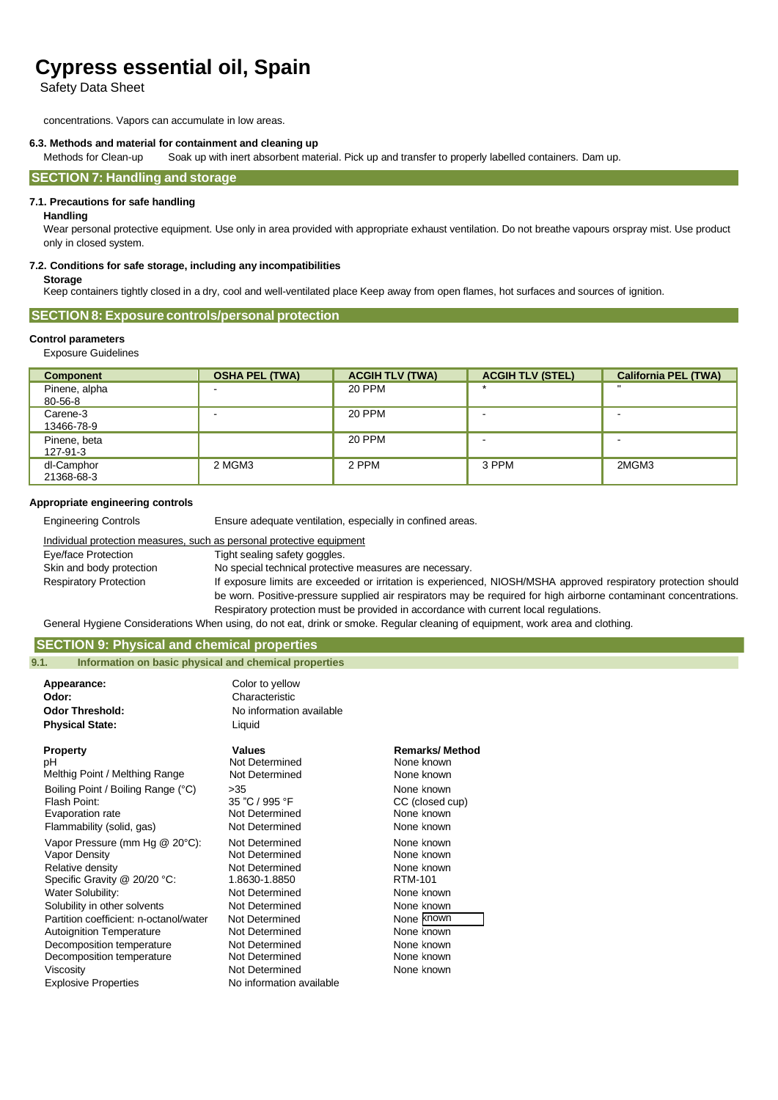Safety Data Sheet

concentrations. Vapors can accumulate in low areas.

#### **6.3. Methods and material for containment and cleaning up**

Methods for Clean-up Soak up with inert absorbent material. Pick up and transfer to properly labelled containers. Dam up.

#### **SECTION 7: Handling and storage**

#### **7.1. Precautions for safe handling**

#### **Handling**

Wear personal protective equipment. Use only in area provided with appropriate exhaust ventilation. Do not breathe vapours orspray mist. Use product only in closed system.

#### **7.2. Conditions for safe storage, including any incompatibilities**

#### **Storage**

Keep containers tightly closed in a dry, cool and well-ventilated place Keep away from open flames, hot surfaces and sources of ignition.

#### **SECTION 8: Exposure controls/personal protection**

#### **Control parameters**

Exposure Guidelines

| <b>Component</b> | <b>OSHA PEL (TWA)</b> | <b>ACGIH TLV (TWA)</b> | <b>ACGIH TLV (STEL)</b> | <b>California PEL (TWA)</b> |
|------------------|-----------------------|------------------------|-------------------------|-----------------------------|
| Pinene, alpha    |                       | 20 PPM                 |                         | $\mathbf{u}$                |
| 80-56-8          |                       |                        |                         |                             |
| Carene-3         |                       | <b>20 PPM</b>          |                         |                             |
| 13466-78-9       |                       |                        |                         |                             |
| Pinene, beta     |                       | 20 PPM                 |                         |                             |
| 127-91-3         |                       |                        |                         |                             |
| dl-Camphor       | 2 MGM3                | 2 PPM                  | 3 PPM                   | 2MGM3                       |
| 21368-68-3       |                       |                        |                         |                             |

#### **Appropriate engineering controls**

Engineering Controls Ensure adequate ventilation, especially in confined areas.

#### Individual protection measures, such as personal protective equipment Eye/face Protection Tight sealing safety goggles. Skin and body protection No special technical protective measures are necessary. Respiratory Protection **If exposure limits are exceeded or irritation is experienced, NIOSH/MSHA approved respiratory protection should** be worn. Positive-pressure supplied air respirators may be required for high airborne contaminant concentrations. Respiratory protection must be provided in accordance with current local regulations.

General Hygiene Considerations When using, do not eat, drink or smoke. Regular cleaning of equipment, work area and clothing.

### **SECTION 9: Physical and chemical properties**

#### **9.1. Information on basic physical and chemical properties**

| Appearance:<br>Odor:<br><b>Odor Threshold:</b><br><b>Physical State:</b>                                                                                                                                                                                                                                                                    | Color to yellow<br>Characteristic<br>No information available<br>Liquid                                                                                                                                                       |                                                                                                                                                     |
|---------------------------------------------------------------------------------------------------------------------------------------------------------------------------------------------------------------------------------------------------------------------------------------------------------------------------------------------|-------------------------------------------------------------------------------------------------------------------------------------------------------------------------------------------------------------------------------|-----------------------------------------------------------------------------------------------------------------------------------------------------|
| <b>Property</b>                                                                                                                                                                                                                                                                                                                             | Values                                                                                                                                                                                                                        | <b>Remarks/Method</b>                                                                                                                               |
| рH                                                                                                                                                                                                                                                                                                                                          | Not Determined                                                                                                                                                                                                                | None known                                                                                                                                          |
| Melthig Point / Melthing Range                                                                                                                                                                                                                                                                                                              | Not Determined                                                                                                                                                                                                                | None known                                                                                                                                          |
| Boiling Point / Boiling Range (°C)                                                                                                                                                                                                                                                                                                          | >35                                                                                                                                                                                                                           | None known                                                                                                                                          |
| Flash Point:                                                                                                                                                                                                                                                                                                                                | 35 "C / 995 °F                                                                                                                                                                                                                | CC (closed cup)                                                                                                                                     |
| Evaporation rate                                                                                                                                                                                                                                                                                                                            | Not Determined                                                                                                                                                                                                                | None known                                                                                                                                          |
| Flammability (solid, gas)                                                                                                                                                                                                                                                                                                                   | Not Determined                                                                                                                                                                                                                | None known                                                                                                                                          |
| Vapor Pressure (mm Hg @ 20°C):<br>Vapor Density<br>Relative density<br>Specific Gravity @ 20/20 °C:<br>Water Solubility:<br>Solubility in other solvents<br>Partition coefficient: n-octanol/water<br><b>Autoignition Temperature</b><br>Decomposition temperature<br>Decomposition temperature<br>Viscosity<br><b>Explosive Properties</b> | Not Determined<br>Not Determined<br>Not Determined<br>1.8630-1.8850<br>Not Determined<br>Not Determined<br>Not Determined<br>Not Determined<br>Not Determined<br>Not Determined<br>Not Determined<br>No information available | None known<br>None known<br>None known<br>RTM-101<br>None known<br>None known<br>None known<br>None known<br>None known<br>None known<br>None known |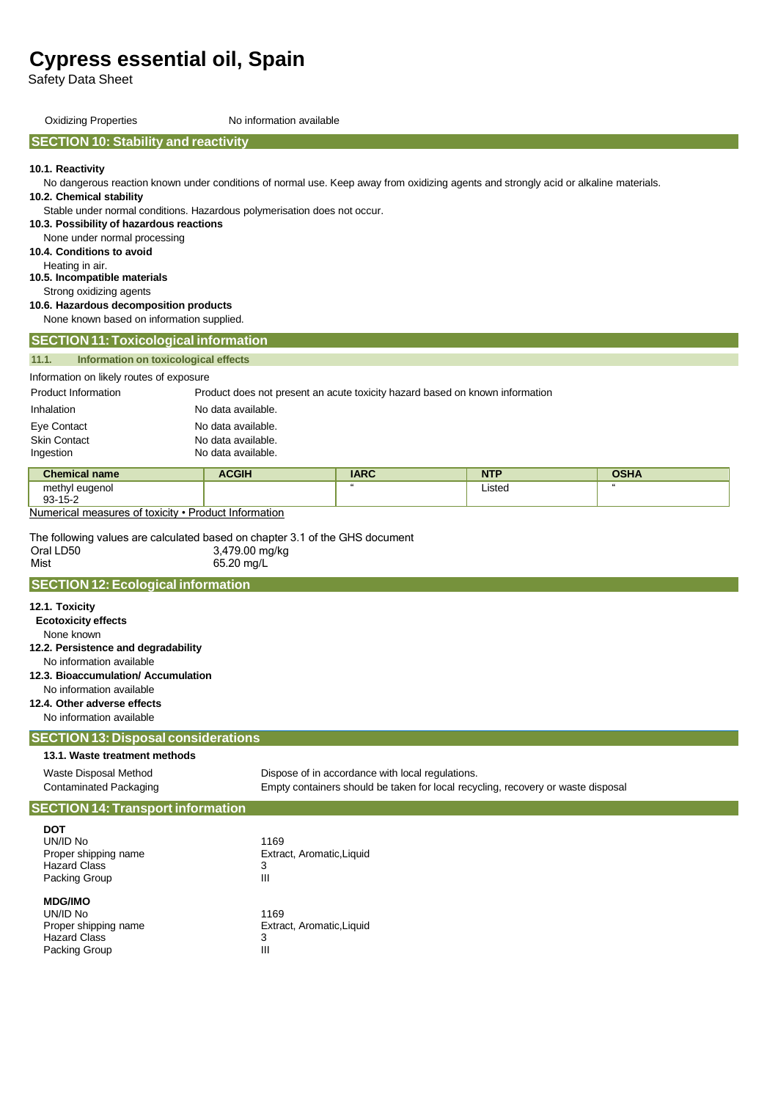Safety Data Sheet

Oxidizing Properties No information available

#### **SECTION 10: Stability and reactivity**

**10.1. Reactivity**

No dangerous reaction known under conditions of normal use. Keep away from oxidizing agents and strongly acid or alkaline materials.

**10.2. Chemical stability**

Stable under normal conditions. Hazardous polymerisation does not occur.

**10.3. Possibility of hazardous reactions**

None under normal processing

**10.4. Conditions to avoid**

Heating in air.

**10.5. Incompatible materials** Strong oxidizing agents

## **10.6. Hazardous decomposition products**

None known based on information supplied.

# Information on likely routes of exposure Product Information Product does not present an acute toxicity hazard based on known information Inhalation No data available. Eye Contact **No data available.** Skin Contact **No data available. 11.1. Information on toxicological effects SECTION 11:Toxicological information**

| <b>SKIN CONTACT</b> | no gata avaliable. |
|---------------------|--------------------|
| Ingestion           | No data available. |

| <b>Chemical name</b>                      | <b>ACGIH</b> | <b>IARC</b> | <b>NTP</b>  | <b>OSHA</b> |
|-------------------------------------------|--------------|-------------|-------------|-------------|
| methyl<br>euaenol<br>. .<br>$93 - 15 - 2$ |              |             | Listed<br>. |             |
|                                           |              |             |             |             |

Numerical measures of toxicity • Product Information

The following values are calculated based on chapter 3.1 of the GHS document Oral LD50 Mist 3,479.00 mg/kg 65.20 mg/L

#### **SECTION 12:Ecological information**

| 12.1. Toxicity<br><b>Ecotoxicity effects</b><br>None known<br>12.2. Persistence and degradability<br>No information available<br>12.3. Bioaccumulation/ Accumulation<br>No information available<br>12.4. Other adverse effects<br>No information available |                                                                                  |
|-------------------------------------------------------------------------------------------------------------------------------------------------------------------------------------------------------------------------------------------------------------|----------------------------------------------------------------------------------|
| <b>SECTION 13: Disposal considerations</b>                                                                                                                                                                                                                  |                                                                                  |
| 13.1. Waste treatment methods                                                                                                                                                                                                                               |                                                                                  |
| Waste Disposal Method                                                                                                                                                                                                                                       | Dispose of in accordance with local regulations.                                 |
| <b>Contaminated Packaging</b>                                                                                                                                                                                                                               | Empty containers should be taken for local recycling, recovery or waste disposal |
| <b>SECTION 14: Transport information</b>                                                                                                                                                                                                                    |                                                                                  |
| <b>DOT</b><br>UN/ID No<br>Proper shipping name<br><b>Hazard Class</b><br>Packing Group                                                                                                                                                                      | 1169<br>Extract, Aromatic, Liquid<br>3<br>Ш                                      |
| <b>MDG/IMO</b><br>UN/ID No<br>Proper shipping name<br><b>Hazard Class</b><br>Packing Group                                                                                                                                                                  | 1169<br>Extract, Aromatic, Liquid<br>3<br>$\mathbf{m}$                           |